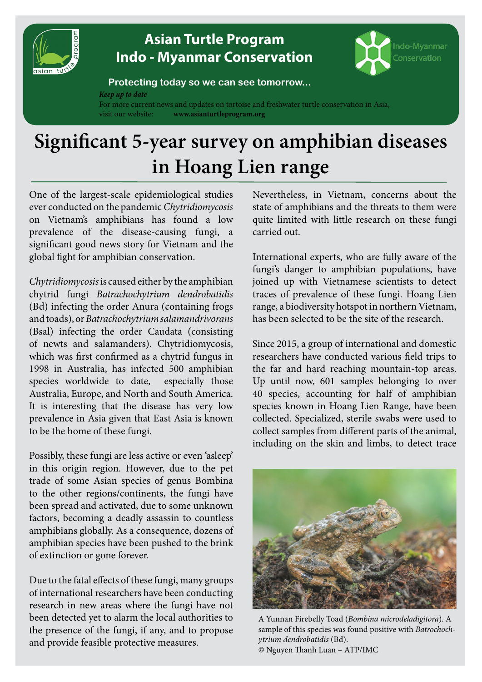

# **[Asian Turtle Program](http://www.asianturtleprogram.org) [Indo - Myanmar Conservation](http://www.asianturtleprogram.org)**



#### **Protecting today so we can see tomorrow...**

*Keep up to date*

For more current news and updates on tortoise and freshwater turtle conservation in Asia, visit our website: **www.asianturtleprogram.org**

# **Significant 5-year survey on amphibian diseases in Hoang Lien range**

One of the largest-scale epidemiological studies ever conducted on the pandemic *Chytridiomycosis* on Vietnam's amphibians has found a low prevalence of the disease-causing fungi, a significant good news story for Vietnam and the global fight for amphibian conservation.

*Chytridiomycosis* is caused either by the amphibian chytrid fungi *Batrachochytrium dendrobatidis* (Bd) infecting the order Anura (containing frogs and toads), or *Batrachochytrium salamandrivorans*  (Bsal) infecting the order Caudata (consisting of newts and salamanders). Chytridiomycosis, which was first confirmed as a chytrid fungus in 1998 in Australia, has infected 500 amphibian species worldwide to date, especially those Australia, Europe, and North and South America. It is interesting that the disease has very low prevalence in Asia given that East Asia is known to be the home of these fungi.

Possibly, these fungi are less active or even 'asleep' in this origin region. However, due to the pet trade of some Asian species of genus Bombina to the other regions/continents, the fungi have been spread and activated, due to some unknown factors, becoming a deadly assassin to countless amphibians globally. As a consequence, dozens of amphibian species have been pushed to the brink of extinction or gone forever.

Due to the fatal effects of these fungi, many groups of international researchers have been conducting research in new areas where the fungi have not been detected yet to alarm the local authorities to the presence of the fungi, if any, and to propose and provide feasible protective measures.

Nevertheless, in Vietnam, concerns about the state of amphibians and the threats to them were quite limited with little research on these fungi carried out.

International experts, who are fully aware of the fungi's danger to amphibian populations, have joined up with Vietnamese scientists to detect traces of prevalence of these fungi. Hoang Lien range, a biodiversity hotspot in northern Vietnam, has been selected to be the site of the research.

Since 2015, a group of international and domestic researchers have conducted various field trips to the far and hard reaching mountain-top areas. Up until now, 601 samples belonging to over 40 species, accounting for half of amphibian species known in Hoang Lien Range, have been collected. Specialized, sterile swabs were used to collect samples from different parts of the animal, including on the skin and limbs, to detect trace



A Yunnan Firebelly Toad (*Bombina microdeladigitora*). A sample of this species was found positive with *Batrochochytrium dendrobatidis* (Bd). © Nguyen Thanh Luan – ATP/IMC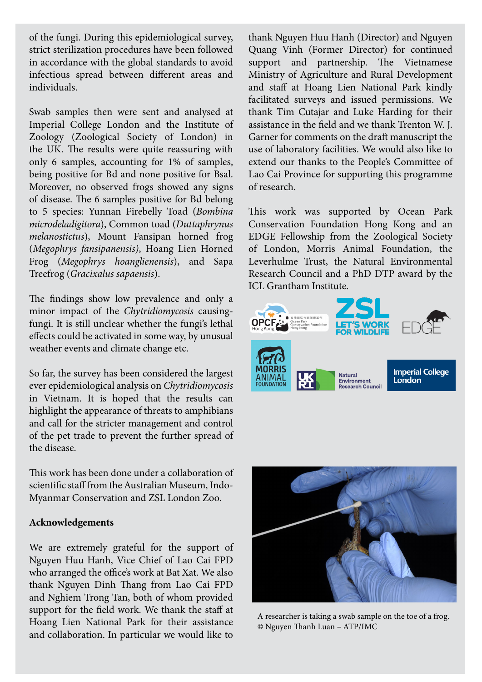of the fungi. During this epidemiological survey, strict sterilization procedures have been followed in accordance with the global standards to avoid infectious spread between different areas and individuals.

Swab samples then were sent and analysed at Imperial College London and the Institute of Zoology (Zoological Society of London) in the UK. The results were quite reassuring with only 6 samples, accounting for 1% of samples, being positive for Bd and none positive for Bsal. Moreover, no observed frogs showed any signs of disease. The 6 samples positive for Bd belong to 5 species: Yunnan Firebelly Toad (*Bombina microdeladigitora*), Common toad (*Duttaphrynus melanostictus*), Mount Fansipan horned frog (*Megophrys fansipanensis)*, Hoang Lien Horned Frog (*Megophrys hoanglienensis*), and Sapa Treefrog (*Gracixalus sapaensis*).

The findings show low prevalence and only a minor impact of the *Chytridiomycosis* causingfungi. It is still unclear whether the fungi's lethal effects could be activated in some way, by unusual weather events and climate change etc.

So far, the survey has been considered the largest ever epidemiological analysis on *Chytridiomycosis*  in Vietnam. It is hoped that the results can highlight the appearance of threats to amphibians and call for the stricter management and control of the pet trade to prevent the further spread of the disease.

This work has been done under a collaboration of scientific staff from the Australian Museum, Indo-Myanmar Conservation and ZSL London Zoo.

#### **Acknowledgements**

We are extremely grateful for the support of Nguyen Huu Hanh, Vice Chief of Lao Cai FPD who arranged the office's work at Bat Xat. We also thank Nguyen Dinh Thang from Lao Cai FPD and Nghiem Trong Tan, both of whom provided support for the field work. We thank the staff at Hoang Lien National Park for their assistance and collaboration. In particular we would like to

thank Nguyen Huu Hanh (Director) and Nguyen Quang Vinh (Former Director) for continued support and partnership. The Vietnamese Ministry of Agriculture and Rural Development and staff at Hoang Lien National Park kindly facilitated surveys and issued permissions. We thank Tim Cutajar and Luke Harding for their assistance in the field and we thank Trenton W. J. Garner for comments on the draft manuscript the use of laboratory facilities. We would also like to extend our thanks to the People's Committee of Lao Cai Province for supporting this programme of research.

This work was supported by Ocean Park Conservation Foundation Hong Kong and an EDGE Fellowship from the Zoological Society of London, Morris Animal Foundation, the Leverhulme Trust, the Natural Environmental Research Council and a PhD DTP award by the ICL Grantham Institute.





A researcher is taking a swab sample on the toe of a frog. © Nguyen Thanh Luan – ATP/IMC